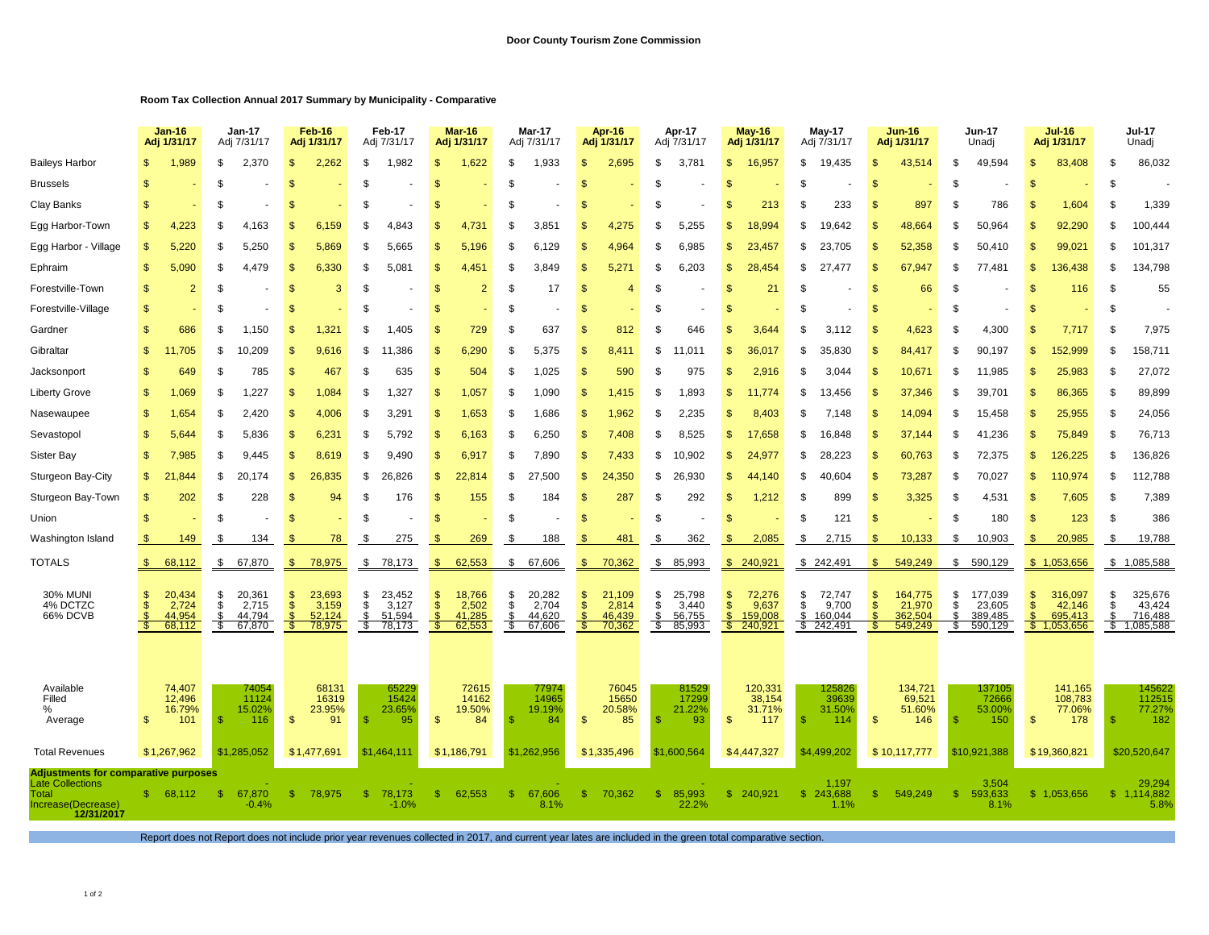## **Room Tax Collection Annual 2017 Summary by Municipality - Comparative**

|                                                                                                                     |                 | $Jan-16$<br>Adj 1/31/17             |                        | <b>Jan-17</b><br>Adj 7/31/17        |                                      | <b>Feb-16</b><br>Adj 1/31/17        |                        | Feb-17<br>Adj 7/31/17               |                                  | <b>Mar-16</b><br>Adj 1/31/17        |                        | <b>Mar-17</b><br>Adj 7/31/17        |                        | Apr-16<br>Adj 1/31/17               |                      | Apr-17<br>Adj 7/31/17               |                               | <b>May-16</b><br>Adj 1/31/17            |                | <b>May-17</b><br>Adj 7/31/17            |                                | <b>Jun-16</b><br>Adj 1/31/17            |                      | <b>Jun-17</b><br>Unadj                  |                | <b>Jul-16</b><br>Adj 1/31/17                |                | <b>Jul-17</b><br>Unadj                                  |  |
|---------------------------------------------------------------------------------------------------------------------|-----------------|-------------------------------------|------------------------|-------------------------------------|--------------------------------------|-------------------------------------|------------------------|-------------------------------------|----------------------------------|-------------------------------------|------------------------|-------------------------------------|------------------------|-------------------------------------|----------------------|-------------------------------------|-------------------------------|-----------------------------------------|----------------|-----------------------------------------|--------------------------------|-----------------------------------------|----------------------|-----------------------------------------|----------------|---------------------------------------------|----------------|---------------------------------------------------------|--|
| <b>Baileys Harbor</b>                                                                                               |                 | 1,989                               | \$                     | 2,370                               | \$                                   | 2,262                               | \$                     | 1,982                               |                                  | 1,622                               | \$                     | 1,933                               | \$                     | 2,695                               | \$                   | 3,781                               | \$                            | 16,957                                  | \$             | 19,435                                  | \$                             | 43,514                                  | \$                   | 49,594                                  | \$             | 83,408                                      | -S             | 86,032                                                  |  |
| <b>Brussels</b>                                                                                                     | \$              |                                     | \$                     |                                     | \$                                   |                                     | \$                     |                                     |                                  |                                     | \$                     |                                     | S                      |                                     | \$                   |                                     | S                             |                                         | \$             |                                         | S                              |                                         | \$                   |                                         | \$             |                                             | \$             |                                                         |  |
| Clay Banks                                                                                                          |                 |                                     | \$                     |                                     |                                      |                                     | \$                     |                                     |                                  |                                     | \$                     |                                     | £.                     |                                     | \$                   |                                     | \$                            | 213                                     | \$             | 233                                     | <b>S</b>                       | 897                                     | \$                   | 786                                     | \$             | 1,604                                       | - \$           | 1,339                                                   |  |
| Egg Harbor-Town                                                                                                     | £.              | 4.223                               | \$                     | 4.163                               | \$                                   | 6.159                               | \$                     | 4.843                               |                                  | 4.731                               | \$                     | 3.851                               | \$                     | 4,275                               | \$                   | 5.255                               | \$                            | 18.994                                  | \$             | 19.642                                  | \$                             | 48.664                                  | \$                   | 50.964                                  | $\mathfrak{s}$ | 92,290                                      | \$             | 100,444                                                 |  |
| Egg Harbor - Village                                                                                                |                 | 5,220                               | \$                     | 5.250                               | \$                                   | 5,869                               | \$                     | 5,665                               |                                  | 5,196                               | \$                     | 6.129                               | £.                     | 4,964                               | \$                   | 6.985                               | \$                            | 23,457                                  | \$             | 23.705                                  | \$                             | 52,358                                  | \$                   | 50.410                                  | \$             | 99,021                                      | \$             | 101,317                                                 |  |
| Ephraim                                                                                                             | \$              | 5,090                               | \$                     | 4.479                               | \$                                   | 6,330                               | \$                     | 5,081                               |                                  | 4.451                               | \$                     | 3.849                               | \$                     | 5,271                               | \$                   | 6.203                               | \$.                           | 28.454                                  | \$             | 27.477                                  | \$                             | 67.947                                  | \$                   | 77.481                                  | \$             | 136,438                                     | \$.            | 134,798                                                 |  |
| Forestville-Town                                                                                                    | \$              | $\overline{2}$                      | \$                     |                                     | \$                                   | 3                                   | \$                     |                                     | -SS                              | $\overline{2}$                      | \$                     | 17                                  | S                      | 4                                   | \$                   |                                     | S                             | 21                                      | \$             |                                         | \$                             | 66                                      | \$                   |                                         | \$             | 116                                         | - \$           | 55                                                      |  |
| Forestville-Village                                                                                                 | \$              |                                     | \$                     |                                     | -S                                   |                                     | \$                     |                                     | \$.                              |                                     | \$                     |                                     | S.                     |                                     | \$                   |                                     | \$                            |                                         | \$             |                                         | \$                             |                                         | \$                   |                                         | \$             |                                             | -S             |                                                         |  |
| Gardner                                                                                                             | £.              | 686                                 | \$                     | 1,150                               | - \$                                 | 1,321                               | \$.                    | 1,405                               | -SS                              | 729                                 | \$                     | 637                                 | S                      | 812                                 | \$                   | 646                                 | \$                            | 3,644                                   | \$             | 3,112                                   | \$                             | 4,623                                   | \$                   | 4,300                                   | \$             | 7,717                                       | - \$           | 7,975                                                   |  |
| Gibraltar                                                                                                           | \$.             | ,705                                | S.                     | 10.209                              | \$                                   | 9,616                               | \$.                    | 1,386                               | S.                               | 6,290                               | \$.                    | 5,375                               | S                      | $8,41^{\circ}$                      | \$                   | $1.01^{\circ}$                      | S                             | 36,017                                  | \$             | 35,830                                  | \$                             | 84.417                                  | \$.                  | 90,197                                  | S              | 152,999                                     | \$.            | 158,711                                                 |  |
| Jacksonport                                                                                                         | \$              | 649                                 | \$                     | 785                                 | \$                                   | 467                                 | \$                     | 635                                 | - \$                             | 504                                 | \$                     | 1,025                               | \$                     | 590                                 | \$                   | 975                                 | S                             | 2,916                                   | \$             | 3,044                                   | \$                             | 10,671                                  | \$                   | 11,985                                  | \$             | 25,983                                      | - \$           | 27,072                                                  |  |
| Liberty Grove                                                                                                       | \$              | 1,069                               | S                      | 1.227                               | -S                                   | 1.084                               | \$.                    | 1,327                               | -S                               | 1,057                               | \$                     | 1.090                               | \$                     | 1,415                               | -S                   | 1.893                               | S                             | 11.774                                  | \$.            | 13.456                                  | S                              | 37,346                                  | \$                   | 39.701                                  | \$             | 86,365                                      | -\$            | 89,899                                                  |  |
| Nasewaupee                                                                                                          | \$              | 1,654                               | \$                     | 2.420                               | \$                                   | 4,006                               | \$                     | 3,29'                               | -\$                              | 1,653                               | \$                     | 1,686                               | \$                     | 1,962                               | \$                   | 2.235                               | \$                            | 8,403                                   | \$             | 7,148                                   | \$                             | 14,094                                  | \$                   | 15,458                                  | \$             | 25,955                                      | -S             | 24,056                                                  |  |
| Sevastopol                                                                                                          |                 | 5,644                               | \$                     | 5.836                               | \$                                   | 6,231                               | \$                     | 5,792                               |                                  | 6,163                               | \$                     | 6,250                               | \$                     | 7,408                               | \$                   | 8,525                               | \$                            | 17,658                                  | \$             | 16,848                                  | S                              | 37,144                                  | \$                   | 41,236                                  | \$             | 75,849                                      | -S             | 76,713                                                  |  |
| Sister Bay                                                                                                          | \$.             | 7,985                               | \$                     | 9,445                               | \$                                   | 8,619                               | \$                     | 9,490                               |                                  | 6,917                               | \$                     | 7,890                               | \$                     | 7,433                               | \$                   | 10,902                              | S                             | 24,977                                  | \$             | 28,223                                  | \$                             | 60,763                                  | \$                   | 72,375                                  | \$             | 126,225                                     | - \$           | 136,826                                                 |  |
| Sturgeon Bay-City                                                                                                   | $\mathfrak{s}$  | .844                                | S                      | 20,174                              | \$.                                  | 26,835                              | \$                     | 26,826                              | S                                | 22,814                              | S                      | 27,500                              | S                      | 24,350                              | \$                   | 26,930                              | S                             | 44,140                                  | \$             | 40,604                                  | S                              | 73,287                                  | \$                   | 70,027                                  | \$             | 110,974                                     | -S             | 112,788                                                 |  |
| Sturgeon Bay-Town                                                                                                   | \$              | 202                                 | S                      | 228                                 | \$                                   | 94                                  | \$                     | 176                                 | -\$                              | 155                                 | \$                     | 184                                 | \$                     | 287                                 | \$                   | 292                                 | \$                            | 1,212                                   | \$             | 899                                     | \$                             | 3,325                                   | \$                   | 4,531                                   | \$             | 7,605                                       | \$             | 7,389                                                   |  |
| Union                                                                                                               | \$              |                                     | \$                     |                                     | -\$                                  |                                     | \$                     |                                     |                                  |                                     | \$                     |                                     | S                      |                                     | \$                   |                                     | S                             |                                         | \$             | 121                                     | $\mathcal{S}$                  |                                         | \$                   | 180                                     | \$             | 123                                         | \$             | 386                                                     |  |
| Washington Island                                                                                                   |                 | 149                                 | \$                     | 134                                 |                                      | 78                                  | \$                     | 275                                 |                                  | 269                                 | \$                     | 188                                 |                        | 481                                 | \$                   | 362                                 | \$                            | 2,085                                   | \$             | 2,715                                   | \$                             | 10,133                                  | \$                   | 10,903                                  | $\mathfrak{s}$ | 20,985                                      | \$             | 19,788                                                  |  |
| <b>TOTALS</b>                                                                                                       | $\mathfrak{S}$  | 68,112                              | -\$                    | 67,870                              | $\mathfrak{s}$                       | 78,975                              | \$                     | 78,173                              | \$.                              | 62,553                              | \$                     | 67,606                              | \$                     | 70,362                              | \$                   | 85,993                              |                               | \$240,921                               | \$             | 242,491                                 | \$                             | 549,249                                 | \$                   | 590,129                                 |                | \$1,053,656                                 |                | \$1,085,588                                             |  |
| <b>30% MUNI</b><br>4% DCTZC<br>66% DCVB                                                                             | \$.<br>\$<br>-S | 20,434<br>2,724<br>44.954<br>68,112 | \$<br>\$<br>\$<br>- \$ | 20,361<br>2,715<br>44.794<br>67,870 | -SS<br>$\frac{1}{2}$<br>- \$<br>- \$ | 23,693<br>3,159<br>52.124<br>78,975 | \$<br>\$<br>\$<br>- \$ | 23,452<br>3,127<br>51,594<br>78,173 | S<br>$\mathbf{s}$<br>- \$<br>-\$ | 18,766<br>2,502<br>41,285<br>62,553 | \$<br>\$<br>\$<br>- \$ | 20,282<br>2,704<br>44.620<br>67,606 | \$<br>\$<br>\$.<br>- S | 21,109<br>2,814<br>46,439<br>70,362 | \$<br>\$<br>S<br>-\$ | 25,798<br>3,440<br>56,755<br>85,993 | $\frac{6}{3}$<br>$\mathbf{s}$ | 72,276<br>9,637<br>159,008<br>\$240,921 | \$<br>\$<br>\$ | 72,747<br>9,700<br>160,044<br>\$242,491 | S<br>$\mathsf{\$}$<br>\$<br>S. | 164,775<br>21,970<br>362.504<br>549,249 | \$<br>\$<br>\$<br>S. | 177,039<br>23,605<br>389.485<br>590,129 | \$<br>\$<br>\$ | 316,097<br>42,146<br>695.413<br>\$1,053,656 | \$<br>\$<br>-S | 325,676<br>43,424<br>716,488<br>$\frac{1}{5}$ 1,085,588 |  |
| Available<br>Filled<br>%<br>Average                                                                                 | \$              | 74,407<br>12,496<br>16.79%<br>101   | S                      | 74054<br>11124<br>15.02%<br>116     | - \$                                 | 68131<br>16319<br>23.95%<br>91      |                        | 65229<br>15424<br>23.65%<br>95      | \$                               | 72615<br>14162<br>19.50%<br>84      | \$.                    | 77974<br>14965<br>19.19%<br>84      | \$                     | 76045<br>15650<br>20.58%<br>85      | S                    | 81529<br>17299<br>21.22%<br>93      | \$                            | 120,331<br>38,154<br>31.71%<br>117      | S              | 125826<br>39639<br>31.50%<br>114        | \$                             | 134,721<br>69,521<br>51.60%<br>146      | - \$                 | 137105<br>72666<br>53.00%<br>150        | \$             | 141.165<br>108,783<br>77.06%<br>178         | £              | 145622<br>112515<br>77.27%<br>182                       |  |
| <b>Total Revenues</b>                                                                                               |                 | \$1,267,962                         |                        | \$1,285,052                         |                                      | \$1,477,691                         |                        | \$1,464,111                         |                                  | \$1,186,791                         |                        | \$1,262,956                         |                        | \$1,335,496                         |                      | \$1,600,564                         |                               | \$4,447,327                             |                | \$4,499,202                             |                                | \$10,117,777                            |                      | \$10,921,388                            |                | \$19,360,821                                |                | \$20,520,647                                            |  |
| <b>Adjustments for comparative purposes</b><br><b>Late Collections</b><br>Total<br>Increase(Decrease)<br>12/31/2017 | -S              | 68,112                              | -S                     | 67,870<br>$-0.4%$                   | $\mathbb{S}$                         | 78,975                              | S.                     | 78,173<br>$-1.0%$                   | \$.                              | 62,553                              | \$.                    | 67,606<br>8.1%                      | <b>S</b>               | 70,362                              | £.                   | 85,993<br>22.2%                     |                               | \$ 240,921                              | s.             | 1,197<br>243,688<br>1.1%                | S                              | 549,249                                 | \$.                  | 3,504<br>593,633<br>8.1%                | S.             | 1,053,656                                   | S.             | 29,294<br>1,114,882<br>5.8%                             |  |

Report does not Report does not include prior year revenues collected in 2017, and current year lates are included in the green total comparative section.